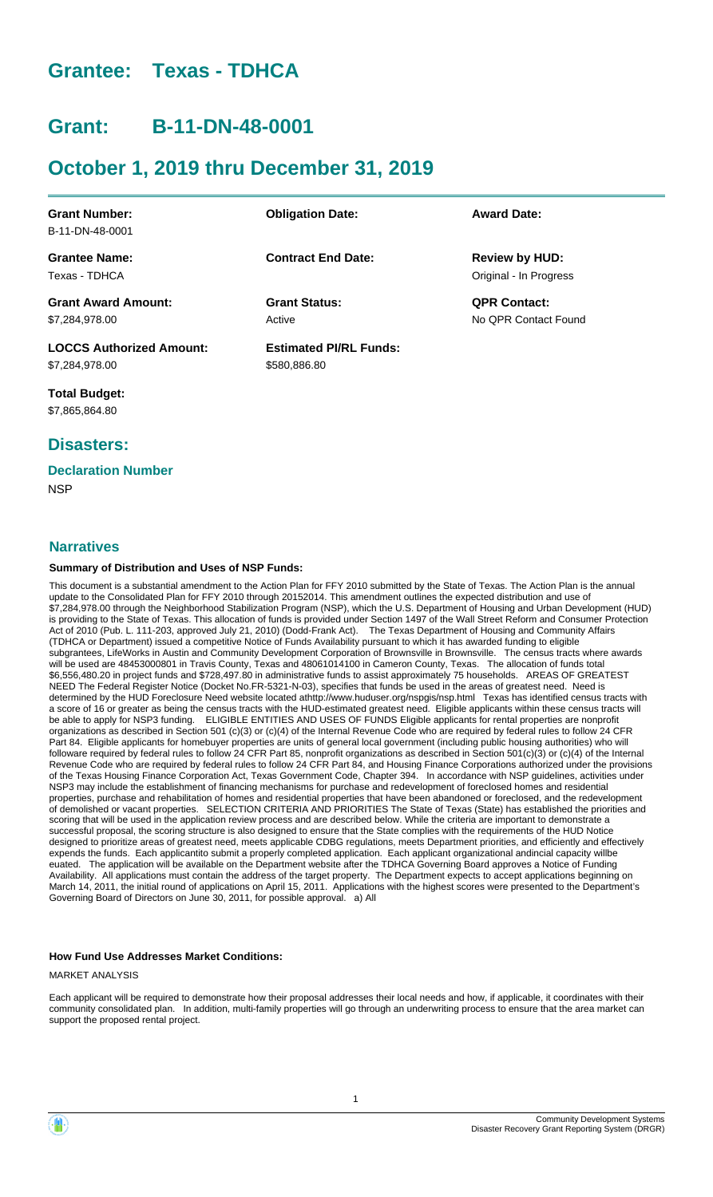# **Grantee: Texas - TDHCA**

# **Grant: B-11-DN-48-0001**

# **October 1, 2019 thru December 31, 2019**

| <b>Grant Number:</b>            | <b>Obligation Date:</b>       | <b>Award Date:</b>     |
|---------------------------------|-------------------------------|------------------------|
| B-11-DN-48-0001                 |                               |                        |
| <b>Grantee Name:</b>            | <b>Contract End Date:</b>     | <b>Review by HUD:</b>  |
| Texas - TDHCA                   |                               | Original - In Progress |
| <b>Grant Award Amount:</b>      | <b>Grant Status:</b>          | <b>QPR Contact:</b>    |
| \$7,284,978.00                  | Active                        | No OPR Contact Found   |
| <b>LOCCS Authorized Amount:</b> | <b>Estimated PI/RL Funds:</b> |                        |
| \$7,284,978.00                  | \$580,886.80                  |                        |

**Total Budget:** \$7,865,864.80

## **Disasters:**

## **Declaration Number**

**NSP** 

### **Narratives**

#### **Summary of Distribution and Uses of NSP Funds:**

This document is a substantial amendment to the Action Plan for FFY 2010 submitted by the State of Texas. The Action Plan is the annual update to the Consolidated Plan for FFY 2010 through 20152014. This amendment outlines the expected distribution and use of \$7,284,978.00 through the Neighborhood Stabilization Program (NSP), which the U.S. Department of Housing and Urban Development (HUD) is providing to the State of Texas. This allocation of funds is provided under Section 1497 of the Wall Street Reform and Consumer Protection Act of 2010 (Pub. L. 111-203, approved July 21, 2010) (Dodd-Frank Act). The Texas Department of Housing and Community Affairs (TDHCA or Department) issued a competitive Notice of Funds Availability pursuant to which it has awarded funding to eligible subgrantees, LifeWorks in Austin and Community Development Corporation of Brownsville in Brownsville. The census tracts where awards will be used are 48453000801 in Travis County, Texas and 48061014100 in Cameron County, Texas. The allocation of funds total \$6,556,480.20 in project funds and \$728,497.80 in administrative funds to assist approximately 75 households. AREAS OF GREATEST NEED The Federal Register Notice (Docket No.FR-5321-N-03), specifies that funds be used in the areas of greatest need. Need is determined by the HUD Foreclosure Need website located athttp://www.huduser.org/nspgis/nsp.html Texas has identified census tracts with a score of 16 or greater as being the census tracts with the HUD-estimated greatest need. Eligible applicants within these census tracts will be able to apply for NSP3 funding. ELIGIBLE ENTITIES AND USES OF FUNDS Eligible applicants for rental properties are nonprofit organizations as described in Section 501 (c)(3) or (c)(4) of the Internal Revenue Code who are required by federal rules to follow 24 CFR Part 84. Eligible applicants for homebuyer properties are units of general local government (including public housing authorities) who will followare required by federal rules to follow 24 CFR Part 85, nonprofit organizations as described in Section 501(c)(3) or (c)(4) of the Internal Revenue Code who are required by federal rules to follow 24 CFR Part 84, and Housing Finance Corporations authorized under the provisions of the Texas Housing Finance Corporation Act, Texas Government Code, Chapter 394. In accordance with NSP guidelines, activities under NSP3 may include the establishment of financing mechanisms for purchase and redevelopment of foreclosed homes and residential properties, purchase and rehabilitation of homes and residential properties that have been abandoned or foreclosed, and the redevelopment of demolished or vacant properties. SELECTION CRITERIA AND PRIORITIES The State of Texas (State) has established the priorities and scoring that will be used in the application review process and are described below. While the criteria are important to demonstrate a successful proposal, the scoring structure is also designed to ensure that the State complies with the requirements of the HUD Notice designed to prioritize areas of greatest need, meets applicable CDBG regulations, meets Department priorities, and efficiently and effectively expends the funds. Each applicantito submit a properly completed application. Each applicant organizational andincial capacity willbe euated. The application will be available on the Department website after the TDHCA Governing Board approves a Notice of Funding Availability. All applications must contain the address of the target property. The Department expects to accept applications beginning on March 14, 2011, the initial round of applications on April 15, 2011. Applications with the highest scores were presented to the Department's Governing Board of Directors on June 30, 2011, for possible approval. a) All

#### **How Fund Use Addresses Market Conditions:**

MARKET ANALYSIS

Each applicant will be required to demonstrate how their proposal addresses their local needs and how, if applicable, it coordinates with their community consolidated plan. In addition, multi-family properties will go through an underwriting process to ensure that the area market can support the proposed rental project.

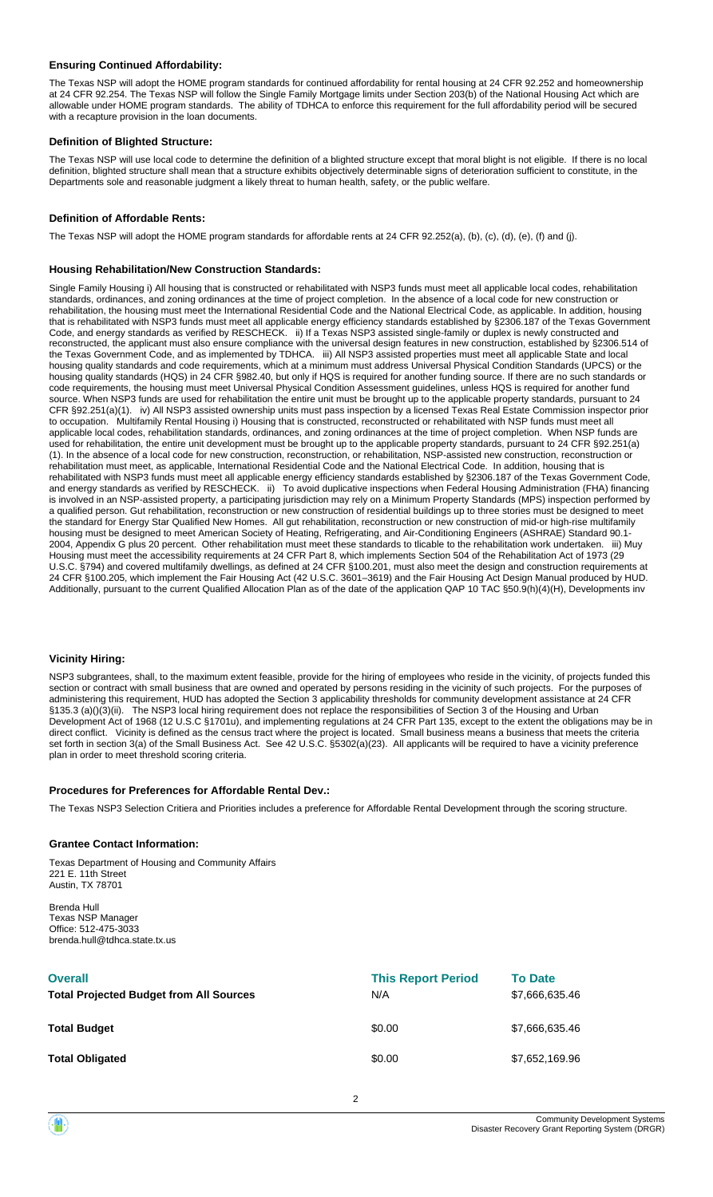#### **Ensuring Continued Affordability:**

The Texas NSP will adopt the HOME program standards for continued affordability for rental housing at 24 CFR 92.252 and homeownership at 24 CFR 92.254. The Texas NSP will follow the Single Family Mortgage limits under Section 203(b) of the National Housing Act which are allowable under HOME program standards. The ability of TDHCA to enforce this requirement for the full affordability period will be secured with a recapture provision in the loan documents.

#### **Definition of Blighted Structure:**

The Texas NSP will use local code to determine the definition of a blighted structure except that moral blight is not eligible. If there is no local definition, blighted structure shall mean that a structure exhibits objectively determinable signs of deterioration sufficient to constitute, in the Departments sole and reasonable judgment a likely threat to human health, safety, or the public welfare.

#### **Definition of Affordable Rents:**

The Texas NSP will adopt the HOME program standards for affordable rents at 24 CFR 92.252(a), (b), (c), (d), (e), (f) and (j).

#### **Housing Rehabilitation/New Construction Standards:**

Single Family Housing i) All housing that is constructed or rehabilitated with NSP3 funds must meet all applicable local codes, rehabilitation standards, ordinances, and zoning ordinances at the time of project completion. In the absence of a local code for new construction or rehabilitation, the housing must meet the International Residential Code and the National Electrical Code, as applicable. In addition, housing that is rehabilitated with NSP3 funds must meet all applicable energy efficiency standards established by §2306.187 of the Texas Government Code, and energy standards as verified by RESCHECK. ii) If a Texas NSP3 assisted single-family or duplex is newly constructed and reconstructed, the applicant must also ensure compliance with the universal design features in new construction, established by §2306.514 of the Texas Government Code, and as implemented by TDHCA. iii) All NSP3 assisted properties must meet all applicable State and local housing quality standards and code requirements, which at a minimum must address Universal Physical Condition Standards (UPCS) or the housing quality standards (HQS) in 24 CFR §982.40, but only if HQS is required for another funding source. If there are no such standards or code requirements, the housing must meet Universal Physical Condition Assessment guidelines, unless HQS is required for another fund source. When NSP3 funds are used for rehabilitation the entire unit must be brought up to the applicable property standards, pursuant to 24 CFR §92.251(a)(1). iv) All NSP3 assisted ownership units must pass inspection by a licensed Texas Real Estate Commission inspector prior to occupation. Multifamily Rental Housing i) Housing that is constructed, reconstructed or rehabilitated with NSP funds must meet all applicable local codes, rehabilitation standards, ordinances, and zoning ordinances at the time of project completion. When NSP funds are used for rehabilitation, the entire unit development must be brought up to the applicable property standards, pursuant to 24 CFR §92.251(a) (1). In the absence of a local code for new construction, reconstruction, or rehabilitation, NSP-assisted new construction, reconstruction or rehabilitation must meet, as applicable, International Residential Code and the National Electrical Code. In addition, housing that is rehabilitated with NSP3 funds must meet all applicable energy efficiency standards established by §2306.187 of the Texas Government Code, and energy standards as verified by RESCHECK. ii) To avoid duplicative inspections when Federal Housing Administration (FHA) financing is involved in an NSP-assisted property, a participating jurisdiction may rely on a Minimum Property Standards (MPS) inspection performed by a qualified person. Gut rehabilitation, reconstruction or new construction of residential buildings up to three stories must be designed to meet the standard for Energy Star Qualified New Homes. All gut rehabilitation, reconstruction or new construction of mid-or high-rise multifamily housing must be designed to meet American Society of Heating, Refrigerating, and Air-Conditioning Engineers (ASHRAE) Standard 90.1- 2004, Appendix G plus 20 percent. Other rehabilitation must meet these standards to tlicable to the rehabilitation work undertaken. iii) Muy Housing must meet the accessibility requirements at 24 CFR Part 8, which implements Section 504 of the Rehabilitation Act of 1973 (29 U.S.C. §794) and covered multifamily dwellings, as defined at 24 CFR §100.201, must also meet the design and construction requirements at 24 CFR §100.205, which implement the Fair Housing Act (42 U.S.C. 3601–3619) and the Fair Housing Act Design Manual produced by HUD. Additionally, pursuant to the current Qualified Allocation Plan as of the date of the application QAP 10 TAC §50.9(h)(4)(H), Developments inv

#### **Vicinity Hiring:**

NSP3 subgrantees, shall, to the maximum extent feasible, provide for the hiring of employees who reside in the vicinity, of projects funded this section or contract with small business that are owned and operated by persons residing in the vicinity of such projects. For the purposes of administering this requirement, HUD has adopted the Section 3 applicability thresholds for community development assistance at 24 CFR §135.3 (a)()(3)(ii). The NSP3 local hiring requirement does not replace the responsibilities of Section 3 of the Housing and Urban Development Act of 1968 (12 U.S.C §1701u), and implementing regulations at 24 CFR Part 135, except to the extent the obligations may be in direct conflict. Vicinity is defined as the census tract where the project is located. Small business means a business that meets the criteria set forth in section 3(a) of the Small Business Act. See 42 U.S.C. §5302(a)(23). All applicants will be required to have a vicinity preference plan in order to meet threshold scoring criteria.

#### **Procedures for Preferences for Affordable Rental Dev.:**

The Texas NSP3 Selection Critiera and Priorities includes a preference for Affordable Rental Development through the scoring structure.

#### **Grantee Contact Information:**

Texas Department of Housing and Community Affairs 221 E. 11th Street Austin, TX 78701

Brenda Hull Texas NSP Manager Office: 512-475-3033 brenda.hull@tdhca.state.tx.us

| <b>Overall</b><br><b>Total Projected Budget from All Sources</b> | <b>This Report Period</b><br>N/A | <b>To Date</b><br>\$7,666,635.46 |
|------------------------------------------------------------------|----------------------------------|----------------------------------|
| <b>Total Budget</b>                                              | \$0.00                           | \$7,666,635.46                   |
| <b>Total Obligated</b>                                           | \$0.00                           | \$7,652,169.96                   |

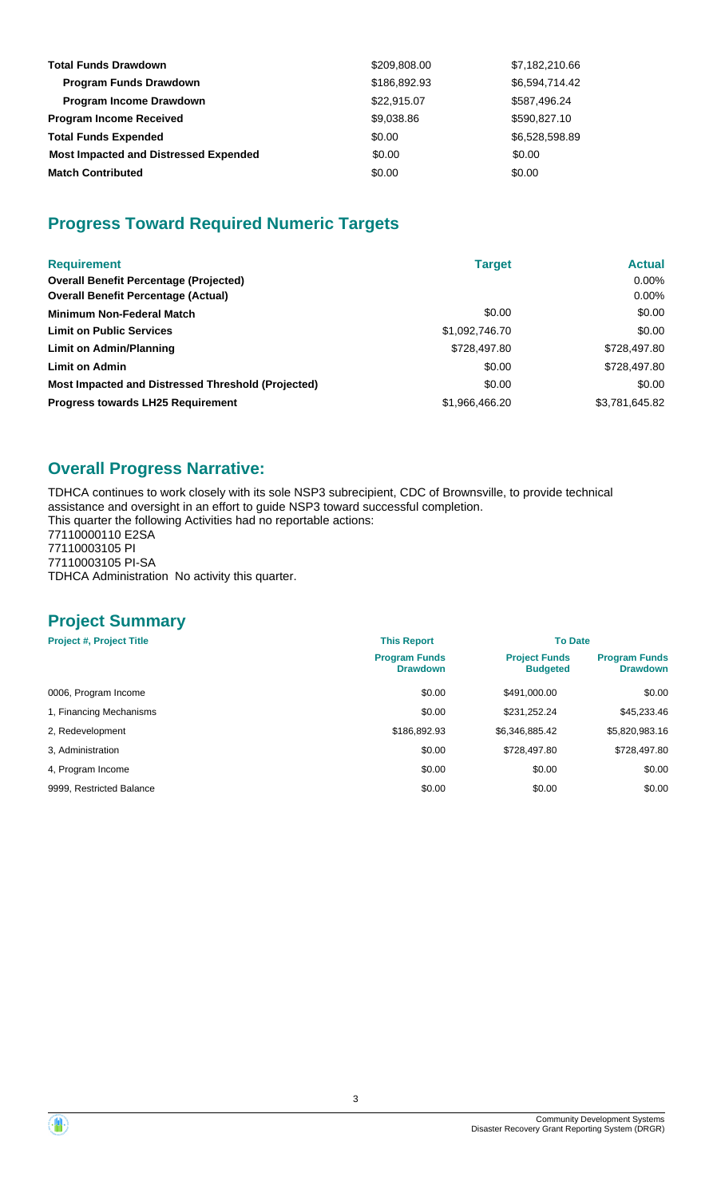| <b>Total Funds Drawdown</b>                  | \$209,808.00 | \$7,182,210.66 |
|----------------------------------------------|--------------|----------------|
| <b>Program Funds Drawdown</b>                | \$186,892.93 | \$6,594,714.42 |
| <b>Program Income Drawdown</b>               | \$22,915.07  | \$587,496.24   |
| <b>Program Income Received</b>               | \$9,038.86   | \$590,827.10   |
| <b>Total Funds Expended</b>                  | \$0.00       | \$6,528,598.89 |
| <b>Most Impacted and Distressed Expended</b> | \$0.00       | \$0.00         |
| <b>Match Contributed</b>                     | \$0.00       | \$0.00         |

# **Progress Toward Required Numeric Targets**

| <b>Requirement</b>                                 | <b>Target</b>  | <b>Actual</b>  |
|----------------------------------------------------|----------------|----------------|
| <b>Overall Benefit Percentage (Projected)</b>      |                | $0.00\%$       |
| <b>Overall Benefit Percentage (Actual)</b>         |                | $0.00\%$       |
| <b>Minimum Non-Federal Match</b>                   | \$0.00         | \$0.00         |
| <b>Limit on Public Services</b>                    | \$1,092,746.70 | \$0.00         |
| Limit on Admin/Planning                            | \$728,497.80   | \$728,497.80   |
| <b>Limit on Admin</b>                              | \$0.00         | \$728,497.80   |
| Most Impacted and Distressed Threshold (Projected) | \$0.00         | \$0.00         |
| <b>Progress towards LH25 Requirement</b>           | \$1,966,466.20 | \$3,781,645.82 |

# **Overall Progress Narrative:**

TDHCA continues to work closely with its sole NSP3 subrecipient, CDC of Brownsville, to provide technical assistance and oversight in an effort to guide NSP3 toward successful completion. This quarter the following Activities had no reportable actions: 77110000110 E2SA

77110003105 PI 77110003105 PI-SA TDHCA Administration No activity this quarter.

## **Project Summary**

| <b>Project #, Project Title</b> | <b>This Report</b>                      | <b>To Date</b>                          |                                         |  |
|---------------------------------|-----------------------------------------|-----------------------------------------|-----------------------------------------|--|
|                                 | <b>Program Funds</b><br><b>Drawdown</b> | <b>Project Funds</b><br><b>Budgeted</b> | <b>Program Funds</b><br><b>Drawdown</b> |  |
| 0006, Program Income            | \$0.00                                  | \$491,000.00                            | \$0.00                                  |  |
| 1, Financing Mechanisms         | \$0.00                                  | \$231,252.24                            | \$45,233.46                             |  |
| 2, Redevelopment                | \$186,892.93                            | \$6,346,885.42                          | \$5,820,983.16                          |  |
| 3. Administration               | \$0.00                                  | \$728,497.80                            | \$728,497.80                            |  |
| 4, Program Income               | \$0.00                                  | \$0.00                                  | \$0.00                                  |  |
| 9999, Restricted Balance        | \$0.00                                  | \$0.00                                  | \$0.00                                  |  |

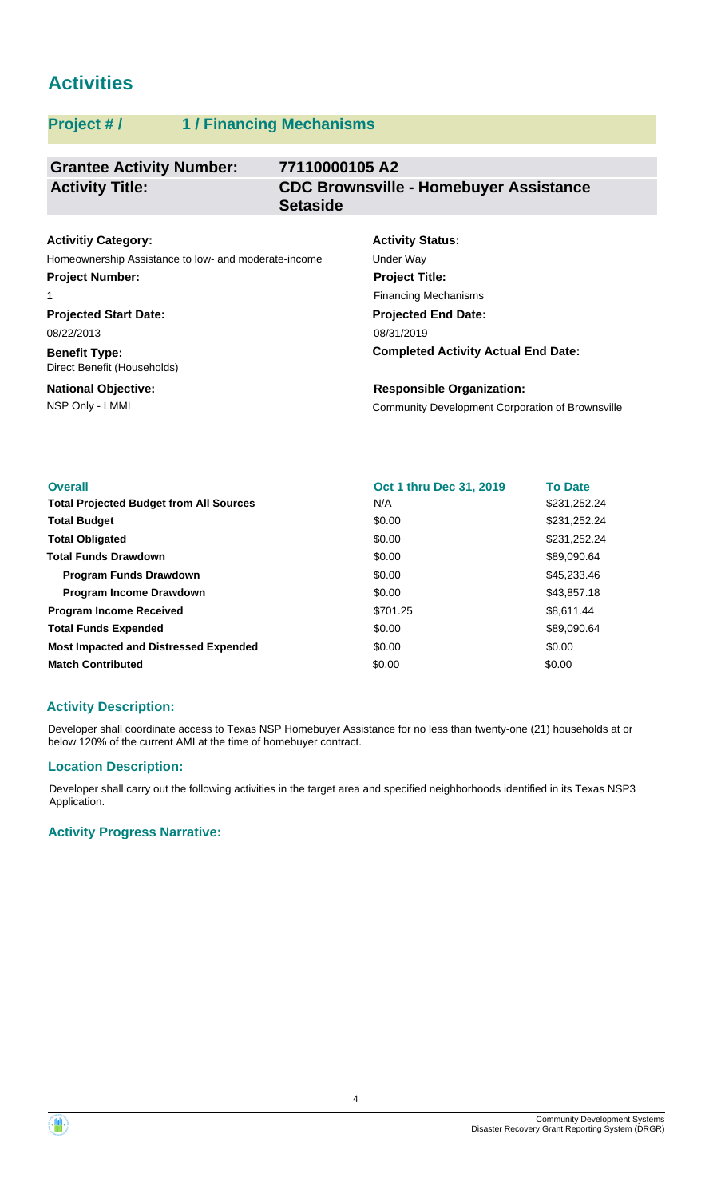# **Activities**

## **Project # / 1 / Financing Mechanisms**

#### **Grantee Activity Number: 77110000105 A2 CDC Brownsville - Homebuyer Assistance Setaside Activity Title:**

# **Activitiy Category:**

Homeownership Assistance to low- and moderate-income Under Way **Project Number:**

#### 1

**Projected Start Date:** 08/22/2013

**Benefit Type:** Direct Benefit (Households)

#### **National Objective:**

# **Activity Status: Projected End Date: Project Title:** Financing Mechanisms

08/31/2019

**Completed Activity Actual End Date:**

NSP Only - LMMI Community Development Corporation of Brownsville **Responsible Organization:**

| <b>Overall</b>                                 | <b>Oct 1 thru Dec 31, 2019</b> | <b>To Date</b> |
|------------------------------------------------|--------------------------------|----------------|
| <b>Total Projected Budget from All Sources</b> | N/A                            | \$231,252.24   |
| <b>Total Budget</b>                            | \$0.00                         | \$231,252.24   |
| <b>Total Obligated</b>                         | \$0.00                         | \$231,252.24   |
| <b>Total Funds Drawdown</b>                    | \$0.00                         | \$89,090.64    |
| <b>Program Funds Drawdown</b>                  | \$0.00                         | \$45,233.46    |
| <b>Program Income Drawdown</b>                 | \$0.00                         | \$43,857.18    |
| <b>Program Income Received</b>                 | \$701.25                       | \$8,611.44     |
| <b>Total Funds Expended</b>                    | \$0.00                         | \$89,090.64    |
| <b>Most Impacted and Distressed Expended</b>   | \$0.00                         | \$0.00         |
| <b>Match Contributed</b>                       | \$0.00                         | \$0.00         |

## **Activity Description:**

Developer shall coordinate access to Texas NSP Homebuyer Assistance for no less than twenty-one (21) households at or below 120% of the current AMI at the time of homebuyer contract.

## **Location Description:**

Developer shall carry out the following activities in the target area and specified neighborhoods identified in its Texas NSP3 Application.

## **Activity Progress Narrative:**

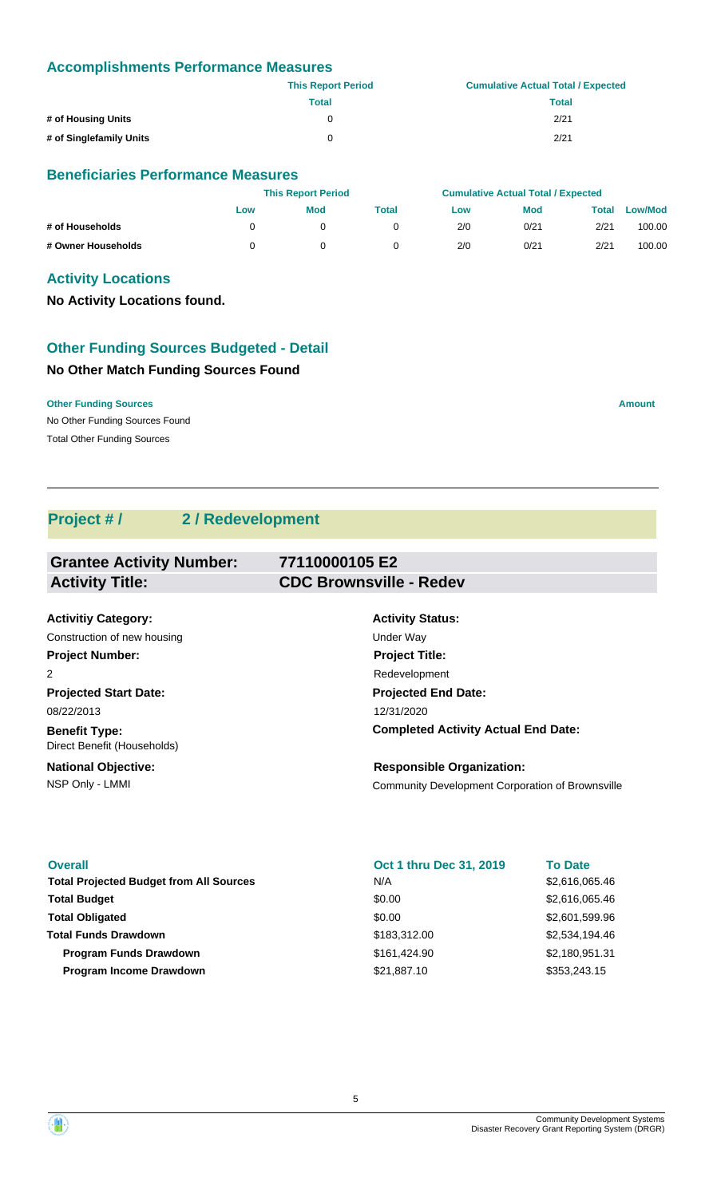### **Accomplishments Performance Measures**

|                         | <b>This Report Period</b> | <b>Cumulative Actual Total / Expected</b> |
|-------------------------|---------------------------|-------------------------------------------|
|                         | Total                     | Total                                     |
| # of Housing Units      | 0                         | 2/21                                      |
| # of Singlefamily Units | 0                         | 2/21                                      |

### **Beneficiaries Performance Measures**

|                    |     | <b>This Report Period</b> |       |     | <b>Cumulative Actual Total / Expected</b> |       |                |
|--------------------|-----|---------------------------|-------|-----|-------------------------------------------|-------|----------------|
|                    | Low | <b>Mod</b>                | Total | Low | <b>Mod</b>                                | Total | <b>Low/Mod</b> |
| # of Households    |     |                           |       | 2/0 | 0/21                                      | 2/21  | 100.00         |
| # Owner Households |     |                           |       | 2/0 | 0/21                                      | 2/21  | 100.00         |

### **Activity Locations**

**No Activity Locations found.**

## **Other Funding Sources Budgeted - Detail**

## **No Other Match Funding Sources Found**

**Other Funding Sources Amount Amount Amount Amount Amount Amount Amount** 

No Other Funding Sources Found Total Other Funding Sources

## **Project # / 2 / Redevelopment**

| <b>Grantee Activity Number:</b> | 77110000105 E2                 |  |
|---------------------------------|--------------------------------|--|
| <b>Activity Title:</b>          | <b>CDC Brownsville - Redev</b> |  |
|                                 |                                |  |
| <b>Activitiy Category:</b>      | <b>Activity Status:</b>        |  |
| Construction of new housing     | Under Way                      |  |
| <b>Project Number:</b>          | <b>Project Title:</b>          |  |
| $\overline{2}$                  | Redevelopment                  |  |
| <b>Projected Start Date:</b>    | <b>Projected End Date:</b>     |  |
| 08/22/2013                      | 12/31/2020                     |  |
|                                 |                                |  |

**Benefit Type:** Direct Benefit (Households)

**National Objective:**

# **Completed Activity Actual End Date:**

NSP Only - LMMI Community Development Corporation of Brownsville **Responsible Organization:**

| <b>Overall</b><br><b>Total Projected Budget from All Sources</b> | Oct 1 thru Dec 31, 2019<br>N/A | <b>To Date</b><br>\$2,616,065.46 |
|------------------------------------------------------------------|--------------------------------|----------------------------------|
| <b>Total Budget</b>                                              | \$0.00                         | \$2,616,065.46                   |
| <b>Total Obligated</b>                                           | \$0.00                         | \$2,601,599.96                   |
| <b>Total Funds Drawdown</b>                                      | \$183,312.00                   | \$2,534,194.46                   |
| <b>Program Funds Drawdown</b>                                    | \$161,424,90                   | \$2,180,951.31                   |
| <b>Program Income Drawdown</b>                                   | \$21,887.10                    | \$353,243.15                     |

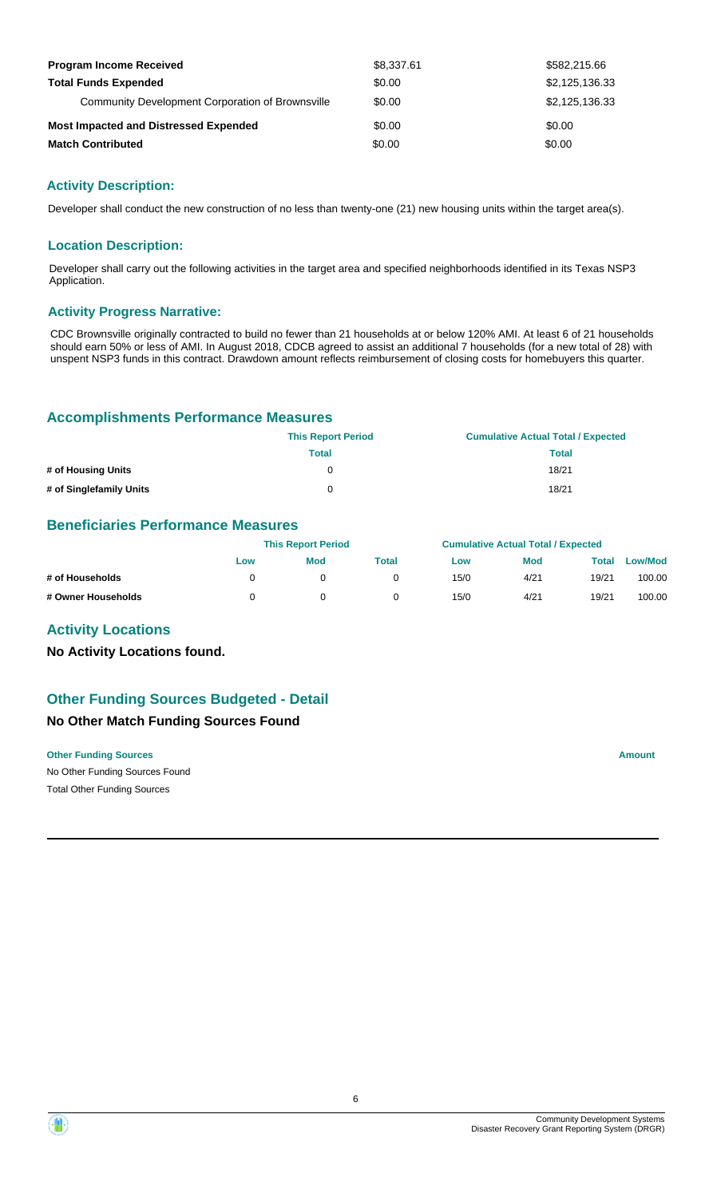| <b>Program Income Received</b>                   | \$8,337.61 | \$582,215.66   |
|--------------------------------------------------|------------|----------------|
| <b>Total Funds Expended</b>                      | \$0.00     | \$2,125,136.33 |
| Community Development Corporation of Brownsville | \$0.00     | \$2,125,136,33 |
| <b>Most Impacted and Distressed Expended</b>     | \$0.00     | \$0.00         |
| <b>Match Contributed</b>                         | \$0.00     | \$0.00         |

### **Activity Description:**

Developer shall conduct the new construction of no less than twenty-one (21) new housing units within the target area(s).

#### **Location Description:**

Developer shall carry out the following activities in the target area and specified neighborhoods identified in its Texas NSP3 Application.

#### **Activity Progress Narrative:**

CDC Brownsville originally contracted to build no fewer than 21 households at or below 120% AMI. At least 6 of 21 households should earn 50% or less of AMI. In August 2018, CDCB agreed to assist an additional 7 households (for a new total of 28) with unspent NSP3 funds in this contract. Drawdown amount reflects reimbursement of closing costs for homebuyers this quarter.

#### **Accomplishments Performance Measures**

|                         | <b>This Report Period</b> | <b>Cumulative Actual Total / Expected</b> |
|-------------------------|---------------------------|-------------------------------------------|
|                         | Total                     | <b>Total</b>                              |
| # of Housing Units      |                           | 18/21                                     |
| # of Singlefamily Units |                           | 18/21                                     |

## **Beneficiaries Performance Measures**

|                    | <b>This Report Period</b> |            |       |      | <b>Cumulative Actual Total / Expected</b> |       |                |
|--------------------|---------------------------|------------|-------|------|-------------------------------------------|-------|----------------|
|                    | Low                       | <b>Mod</b> | Total | Low  | <b>Mod</b>                                | Total | <b>Low/Mod</b> |
| # of Households    |                           |            |       | 15/0 | 4/21                                      | 19/21 | 100.00         |
| # Owner Households |                           |            |       | 15/0 | 4/21                                      | 19/21 | 100.00         |

#### **Activity Locations**

**No Activity Locations found.**

## **No Other Match Funding Sources Found Other Funding Sources Budgeted - Detail**

#### **Other Funding Sources Amount Amount Amount Amount Amount Amount Amount**

No Other Funding Sources Found Total Other Funding Sources

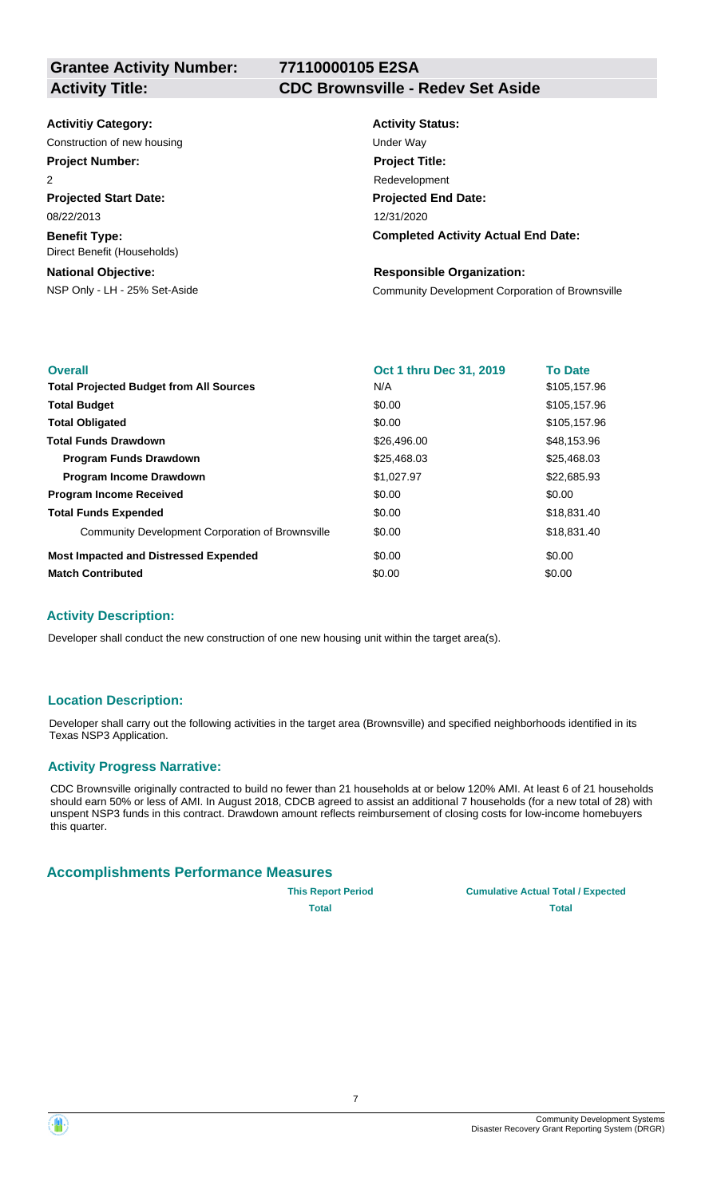# **77110000105 E2SA**

#### **Activity Title: CDC Brownsville - Redev Set Aside**

#### **Activitiy Category:**

Construction of new housing Theorem 2012 Construction of new housing Under Way

## **Project Number:**

 $\overline{2}$ 

**Projected Start Date:** 08/22/2013

**Benefit Type:** Direct Benefit (Households)

### **National Objective:**

# **Activity Status: Projected End Date: Completed Activity Actual End Date:** 12/31/2020 **Project Title:** Redevelopment

#### **Responsible Organization:**

NSP Only - LH - 25% Set-Aside Community Development Corporation of Brownsville

| <b>Overall</b>                                          | Oct 1 thru Dec 31, 2019 | <b>To Date</b> |
|---------------------------------------------------------|-------------------------|----------------|
| <b>Total Projected Budget from All Sources</b>          | N/A                     | \$105,157.96   |
| <b>Total Budget</b>                                     | \$0.00                  | \$105,157.96   |
| <b>Total Obligated</b>                                  | \$0.00                  | \$105,157.96   |
| <b>Total Funds Drawdown</b>                             | \$26,496.00             | \$48,153.96    |
| <b>Program Funds Drawdown</b>                           | \$25,468.03             | \$25,468.03    |
| Program Income Drawdown                                 | \$1,027.97              | \$22,685.93    |
| <b>Program Income Received</b>                          | \$0.00                  | \$0.00         |
| <b>Total Funds Expended</b>                             | \$0.00                  | \$18,831.40    |
| <b>Community Development Corporation of Brownsville</b> | \$0.00                  | \$18,831.40    |
| <b>Most Impacted and Distressed Expended</b>            | \$0.00                  | \$0.00         |
| <b>Match Contributed</b>                                | \$0.00                  | \$0.00         |

## **Activity Description:**

Developer shall conduct the new construction of one new housing unit within the target area(s).

## **Location Description:**

Developer shall carry out the following activities in the target area (Brownsville) and specified neighborhoods identified in its Texas NSP3 Application.

## **Activity Progress Narrative:**

CDC Brownsville originally contracted to build no fewer than 21 households at or below 120% AMI. At least 6 of 21 households should earn 50% or less of AMI. In August 2018, CDCB agreed to assist an additional 7 households (for a new total of 28) with unspent NSP3 funds in this contract. Drawdown amount reflects reimbursement of closing costs for low-income homebuyers this quarter.

#### **Accomplishments Performance Measures**

**This Report Period Cumulative Actual Total / Expected Total Total**